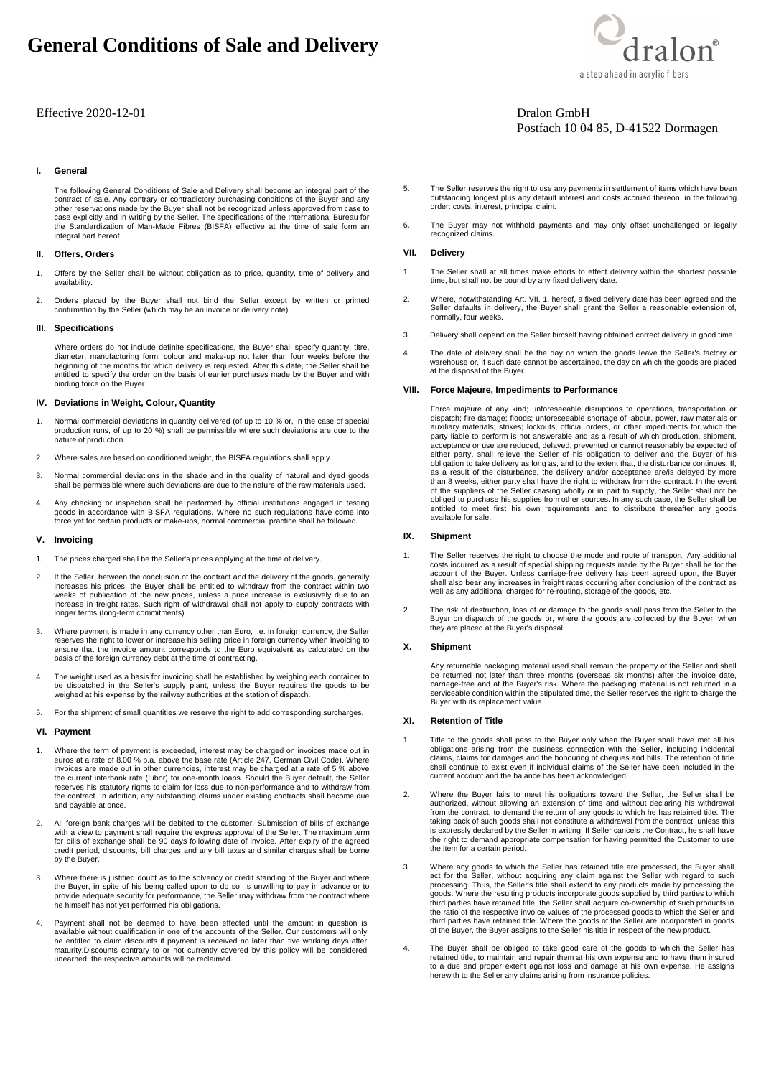## **General Conditions of Sale and Delivery**

#### Effective 2020-12-01 Dralon GmbH

#### **I. General**

The following General Conditions of Sale and Delivery shall become an integral part of the contract of sale. Any contrary or contradictory purchasing conditions of the Buyer and any other reservations made by the Buyer shall not be recognized unless approved from case to case explicitly and in writing by the Seller. The specifications of the International Bureau for the Standardization of Man-Made Fibres (BISFA) effective at the time of sale form an integral part hereof.

#### **II. Offers, Orders**

- 1. Offers by the Seller shall be without obligation as to price, quantity, time of delivery and availability.
- 2. Orders placed by the Buyer shall not bind the Seller except by written or printed confirmation by the Seller (which may be an invoice or delivery note).

#### **III. Specifications**

 Where orders do not include definite specifications, the Buyer shall specify quantity, titre, diameter, manufacturing form, colour and make-up not later than four weeks before the beginning of the months for which delivery is requested. After this date, the Seller shall be entitled to specify the order on the basis of earlier purchases made by the Buyer and with binding force on the Buyer.

#### **IV. Deviations in Weight, Colour, Quantity**

- 1. Normal commercial deviations in quantity delivered (of up to 10 % or, in the case of special production runs, of up to 20 %) shall be permissible where such deviations are due to the nature of production.
- 2. Where sales are based on conditioned weight, the BISFA regulations shall apply.
- 3. Normal commercial deviations in the shade and in the quality of natural and dyed goods shall be permissible where such deviations are due to the nature of the raw materials used.
- 4. Any checking or inspection shall be performed by official institutions engaged in testing goods in accordance with BISFA regulations. Where no such regulations have come into force yet for certain products or make-ups, normal comrnercial practice shall be followed.

#### **V. Invoicing**

- 1. The prices charged shall be the Seller's prices applying at the time of delivery.
- 2. If the Seller, between the conclusion of the contract and the delivery of the goods, generally increases his prices, the Buyer shall be entitled to withdraw from the contract within two weeks of publication of the new prices, unless a price increase is exclusively due to an increase in freight rates. Such right of withdrawal shall not apply to supply contracts with longer terms (long-term commitments).
- 3. Where payment is made in any currency other than Euro, i.e. in foreign currency, the Seller reserves the right to lower or increase his selling price in foreign currency when invoicing to<br>ensure that the invoice amount corresponds to the Euro equivalent as calculated on the<br>basis of the foreign currency debt at t
- 4. The weight used as a basis for invoicing shall be established by weighing each container to be dispatched in the Seller's supply plant, unless the Buyer requires the goods to be weighed at his expense by the railway authorities at the station of dispatch.
- 5. For the shipment of small quantities we reserve the right to add corresponding surcharges.

#### **VI. Payment**

- 1. Where the term of payment is exceeded, interest may be charged on invoices made out in euros at a rate of 8.00 % p.a. above the base rate (Article 247, German Civil Code). Where invoices are made out in other currencies, interest may be charged at a rate of 5 % above the current interbank rate (Libor) for one-month loans. Should the Buyer default, the Seller reserves his statutory rights to claim for loss due to non-performance and to withdraw from the contract. In addition, any outstanding claims under existing contracts shall become due and payable at once.
- 2. All foreign bank charges will be debited to the customer. Submission of bills of exchange with a view to payment shall require the express approval of the Seller. The maximum term for bills of exchange shall be 90 days following date of invoice. After expiry of the agreed credit period, discounts, bill charges and any bill taxes and similar charges shall be borne by the Buyer.
- 3. Where there is justified doubt as to the solvency or credit standing of the Buyer and where the Buyer, in spite of his being called upon to do so, is unwilling to pay in advance or to provide adequate security for performance, the Seller rnay withdraw from the contract where he himself has not yet performed his obligations.
- Payment shall not be deemed to have been effected until the amount in question is available without qualification in one of the accounts of the Seller. Our customers will only be entitled to claim discounts if payment is received no later than five working days after maturity.Discounts contrary to or not currently covered by this policy will be considered unearned; the respective amounts will be reclaimed.
- 5. The Seller reserves the right to use any payments in settlement of items which have been outstanding longest plus any default interest and costs accrued thereon, in the following order: costs, interest, principal claim.
- 6. The Buyer rnay not withhold payments and may only offset unchallenged or legally recognized claims.

#### **VII. Delivery**

- 1. The Seller shall at all times make efforts to effect delivery within the shortest possible time, but shall not be bound by any fixed delivery date.
- 2. Where, notwithstanding Art. VII. 1. hereof, a fixed delivery date has been agreed and the Seller defaults in delivery, the Buyer shall grant the Seller a reasonable extension of, normally, four weeks.
- 3. Delivery shall depend on the Seller himself having obtained correct delivery in good time.
- 4. The date of delivery shall be the day on which the goods leave the Seller's factory or warehouse or, if such date cannot be ascertained, the day on which the goods are placed at the disposal of the Buyer.

#### **VIII. Force Majeure, Impediments to Performance**

Force majeure of any kind; unforeseeable disruptions to operations, transportation or dispatch; fire damage; floods; unforeseeable shortage of labour, power, raw materials or auxiliary materials; strikes; lockouts; official orders, or other impediments for which the party liable to perform is not answerable and as a result of which production, shipment, acceptance or use are reduced, delayed, prevented or cannot reasonably be expected of either party, shall relieve the Seller of his obligation to deliver and the Buyer of his obligation to take delivery as long as, and to the extent that, the disturbance continues. If, as a result of the disturbance, the delivery and/or acceptance are/is delayed by more than 8 weeks, either party shall have the right to withdraw from the contract. In the event of the suppliers of the Seller ceasing wholly or in part to supply, the Seller shall not be obliged to purchase his supplies from other sources. In any such case, the Seller shall be entitled to meet first his own requirements and to distribute thereafter any goods available for sale.

#### **IX. Shipment**

- 1. The Seller reserves the right to choose the mode and route of transport. Any additional costs incurred as a result of special shipping requests made by the Buyer shall be for the<br>account of the Buyer. Unless carriage-free delivery has been agreed upon, the Buyer<br>shall also bear any increases in freight rates well as any additional charges for re-routing, storage of the goods, etc.
- 2. The risk of destruction, loss of or damage to the goods shall pass from the Seller to the Buyer on dispatch of the goods or, where the goods are collected by the Buyer, when they are placed at the Buyer's disposal.

#### **X. Shipment**

Any returnable packaging material used shall remain the property of the Seller and shall be returned not later than three months (overseas six months) after the invoice date, carriage-free and at the Buyer's risk. Where the packaging material is not returned in a serviceable condition within the stipulated time, the Seller reserves the right to charge the Buyer with its replacement value.

#### **XI. Retention of Title**

- Title to the goods shall pass to the Buyer only when the Buyer shall have met all his obligations arising from the business connection with the Seller, including incidental claims, claims for damages and the honouring of cheques and bills. The retention of title shall continue to exist even if individual claims of the Seller have been included in the current account and the balance has been acknowledged.
- 2. Where the Buyer fails to meet his obligations toward the Seller, the Seller shall be authorized, without allowing an extension of time and without declaring his withdrawal from the contract, to demand the return of any goods to which he has retained title. The<br>taking back of such goods shall not constitute a withdrawal from the contract, unless this<br>is expressly declared by the Seller in wri the right to demand appropriate compensation for having permitted the Customer to use the item for a certain period.
- 3. Where any goods to which the Seller has retained title are processed, the Buyer shall act for the Seller, without acquiring any claim against the Seller with regard to such processing. Thus, the Seller's title shall extend to any products made by processing the<br>goods. Where the resulting products incorporate goods supplied by third parties to which<br>third parties have retained title, the Selle third parties have retained title. Where the goods of the Seller are incorporated in goods of the Buyer, the Buyer assigns to the Seller his title in respect of the new product.
- 4. The Buyer shall be obliged to take good care of the goods to which the Seller has retained title, to maintain and repair them at his own expense and to have them insured to a due and proper extent against loss and damage at his own expense. He assigns herewith to the Seller any claims arising from insurance policies.



# Postfach 10 04 85, D-41522 Dormagen